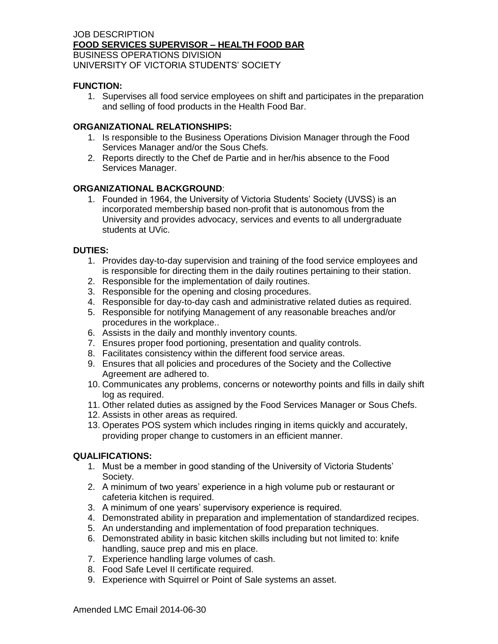#### JOB DESCRIPTION **FOOD SERVICES SUPERVISOR – HEALTH FOOD BAR** BUSINESS OPERATIONS DIVISION UNIVERSITY OF VICTORIA STUDENTS' SOCIETY

## **FUNCTION:**

1. Supervises all food service employees on shift and participates in the preparation and selling of food products in the Health Food Bar.

#### **ORGANIZATIONAL RELATIONSHIPS:**

- 1. Is responsible to the Business Operations Division Manager through the Food Services Manager and/or the Sous Chefs.
- 2. Reports directly to the Chef de Partie and in her/his absence to the Food Services Manager.

### **ORGANIZATIONAL BACKGROUND**:

1. Founded in 1964, the University of Victoria Students' Society (UVSS) is an incorporated membership based non-profit that is autonomous from the University and provides advocacy, services and events to all undergraduate students at UVic.

### **DUTIES:**

- 1. Provides day-to-day supervision and training of the food service employees and is responsible for directing them in the daily routines pertaining to their station.
- 2. Responsible for the implementation of daily routines.
- 3. Responsible for the opening and closing procedures.
- 4. Responsible for day-to-day cash and administrative related duties as required.
- 5. Responsible for notifying Management of any reasonable breaches and/or procedures in the workplace..
- 6. Assists in the daily and monthly inventory counts.
- 7. Ensures proper food portioning, presentation and quality controls.
- 8. Facilitates consistency within the different food service areas.
- 9. Ensures that all policies and procedures of the Society and the Collective Agreement are adhered to.
- 10. Communicates any problems, concerns or noteworthy points and fills in daily shift log as required.
- 11. Other related duties as assigned by the Food Services Manager or Sous Chefs.
- 12. Assists in other areas as required.
- 13. Operates POS system which includes ringing in items quickly and accurately, providing proper change to customers in an efficient manner.

# **QUALIFICATIONS:**

- 1. Must be a member in good standing of the University of Victoria Students' Society.
- 2. A minimum of two years' experience in a high volume pub or restaurant or cafeteria kitchen is required.
- 3. A minimum of one years' supervisory experience is required.
- 4. Demonstrated ability in preparation and implementation of standardized recipes.
- 5. An understanding and implementation of food preparation techniques.
- 6. Demonstrated ability in basic kitchen skills including but not limited to: knife handling, sauce prep and mis en place.
- 7. Experience handling large volumes of cash.
- 8. Food Safe Level II certificate required.
- 9. Experience with Squirrel or Point of Sale systems an asset.